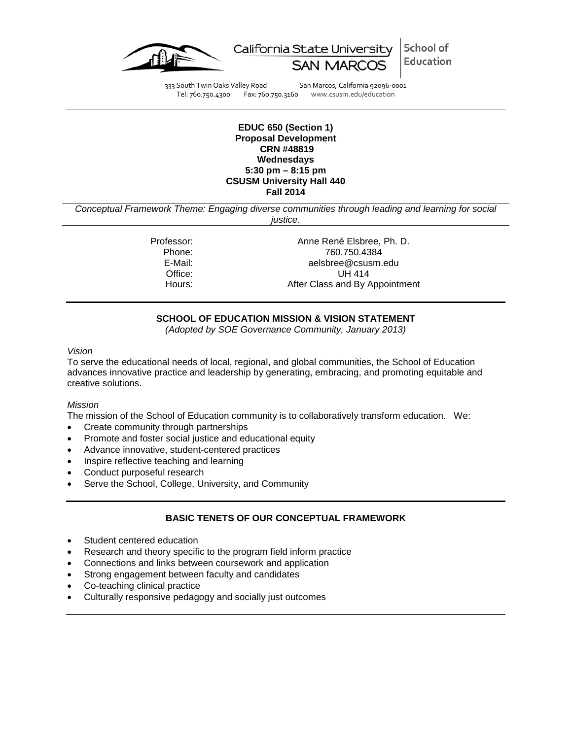

School of California State University Education

333 South Twin Oaks Valley Road San Marcos, California 92096-0001<br>Tel: 760.750.4300 Fax: 760.750.3160 www.csusm.edu/education

Fax: 760.750.3160 www.csusm.edu/education

#### **EDUC 650 (Section 1) Proposal Development CRN #48819 Wednesdays 5:30 pm – 8:15 pm CSUSM University Hall 440 Fall 2014**

*Conceptual Framework Theme: Engaging diverse communities through leading and learning for social justice.*

Professor: Anne René Elsbree, Ph. D.<br>Phone: 760.750.4384 Phone: 760.750.4384<br>E-Mail: 760.750.4384 E-Mail: aelsbree@csusm.edu Office: UH 414<br>Hours: After Class and By A After Class and By Appointment

# **SCHOOL OF EDUCATION MISSION & VISION STATEMENT**

*(Adopted by SOE Governance Community, January 2013)*

#### *Vision*

To serve the educational needs of local, regional, and global communities, the School of Education advances innovative practice and leadership by generating, embracing, and promoting equitable and creative solutions.

#### *Mission*

The mission of the School of Education community is to collaboratively transform education. We:

- Create community through partnerships
- Promote and foster social justice and educational equity
- Advance innovative, student-centered practices
- Inspire reflective teaching and learning
- Conduct purposeful research
- Serve the School, College, University, and Community

# **BASIC TENETS OF OUR CONCEPTUAL FRAMEWORK**

- Student centered education
- Research and theory specific to the program field inform practice
- Connections and links between coursework and application
- Strong engagement between faculty and candidates
- Co-teaching clinical practice
- Culturally responsive pedagogy and socially just outcomes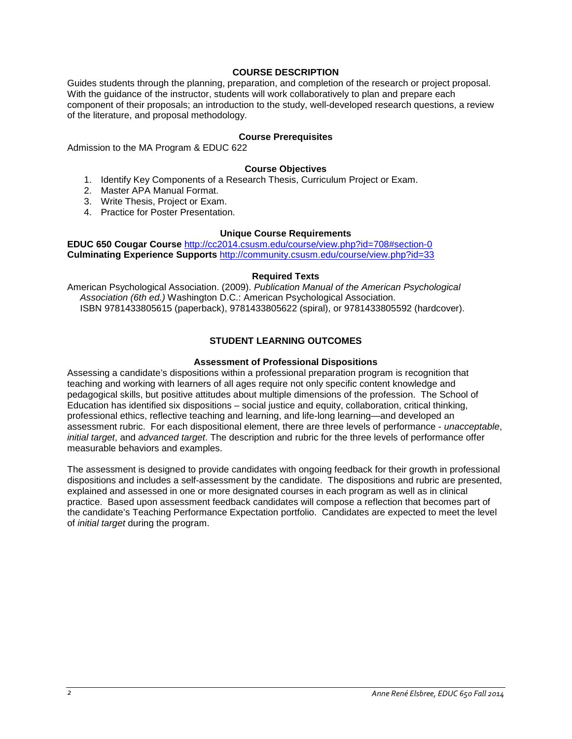#### **COURSE DESCRIPTION**

Guides students through the planning, preparation, and completion of the research or project proposal. With the guidance of the instructor, students will work collaboratively to plan and prepare each component of their proposals; an introduction to the study, well-developed research questions, a review of the literature, and proposal methodology.

#### **Course Prerequisites**

Admission to the MA Program & EDUC 622

#### **Course Objectives**

- 1. Identify Key Components of a Research Thesis, Curriculum Project or Exam.
- 2. Master APA Manual Format.
- 3. Write Thesis, Project or Exam.
- 4. Practice for Poster Presentation.

#### **Unique Course Requirements**

**EDUC 650 Cougar Course** <http://cc2014.csusm.edu/course/view.php?id=708#section-0> **Culminating Experience Supports** <http://community.csusm.edu/course/view.php?id=33>

#### **Required Texts**

American Psychological Association. (2009). *Publication Manual of the American Psychological Association (6th ed.)* Washington D.C.: American Psychological Association. ISBN 9781433805615 (paperback), 9781433805622 (spiral), or 9781433805592 (hardcover).

#### **STUDENT LEARNING OUTCOMES**

#### **Assessment of Professional Dispositions**

Assessing a candidate's dispositions within a professional preparation program is recognition that teaching and working with learners of all ages require not only specific content knowledge and pedagogical skills, but positive attitudes about multiple dimensions of the profession. The School of Education has identified six dispositions – social justice and equity, collaboration, critical thinking, professional ethics, reflective teaching and learning, and life-long learning—and developed an assessment rubric. For each dispositional element, there are three levels of performance - *unacceptable*, *initial target*, and *advanced target*. The description and rubric for the three levels of performance offer measurable behaviors and examples.

The assessment is designed to provide candidates with ongoing feedback for their growth in professional dispositions and includes a self-assessment by the candidate. The dispositions and rubric are presented, explained and assessed in one or more designated courses in each program as well as in clinical practice. Based upon assessment feedback candidates will compose a reflection that becomes part of the candidate's Teaching Performance Expectation portfolio. Candidates are expected to meet the level of *initial target* during the program.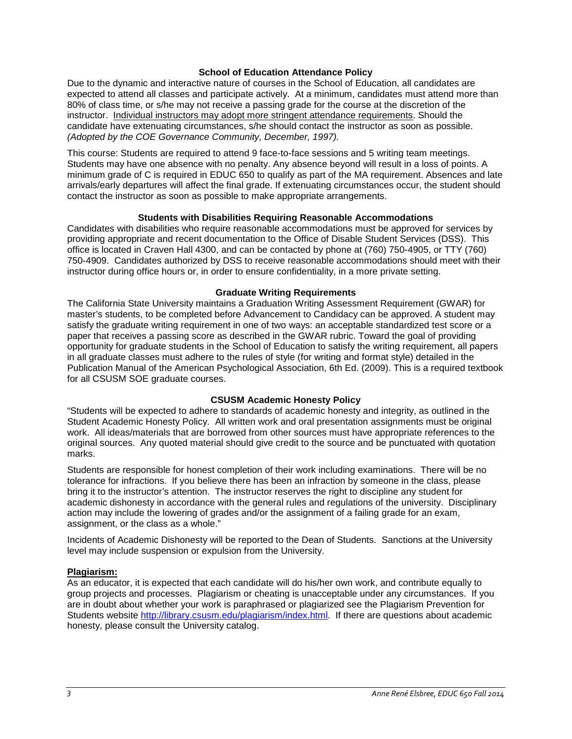#### **School of Education Attendance Policy**

Due to the dynamic and interactive nature of courses in the School of Education, all candidates are expected to attend all classes and participate actively. At a minimum, candidates must attend more than 80% of class time, or s/he may not receive a passing grade for the course at the discretion of the instructor. Individual instructors may adopt more stringent attendance requirements. Should the candidate have extenuating circumstances, s/he should contact the instructor as soon as possible. *(Adopted by the COE Governance Community, December, 1997).*

This course: Students are required to attend 9 face-to-face sessions and 5 writing team meetings. Students may have one absence with no penalty. Any absence beyond will result in a loss of points. A minimum grade of C is required in EDUC 650 to qualify as part of the MA requirement. Absences and late arrivals/early departures will affect the final grade. If extenuating circumstances occur, the student should contact the instructor as soon as possible to make appropriate arrangements.

#### **Students with Disabilities Requiring Reasonable Accommodations**

Candidates with disabilities who require reasonable accommodations must be approved for services by providing appropriate and recent documentation to the Office of Disable Student Services (DSS). This office is located in Craven Hall 4300, and can be contacted by phone at (760) 750-4905, or TTY (760) 750-4909. Candidates authorized by DSS to receive reasonable accommodations should meet with their instructor during office hours or, in order to ensure confidentiality, in a more private setting.

#### **Graduate Writing Requirements**

The California State University maintains a Graduation Writing Assessment Requirement (GWAR) for master's students, to be completed before Advancement to Candidacy can be approved. A student may satisfy the graduate writing requirement in one of two ways: an acceptable standardized test score or a paper that receives a passing score as described in the GWAR rubric. Toward the goal of providing opportunity for graduate students in the School of Education to satisfy the writing requirement, all papers in all graduate classes must adhere to the rules of style (for writing and format style) detailed in the Publication Manual of the American Psychological Association, 6th Ed. (2009). This is a required textbook for all CSUSM SOE graduate courses.

## **CSUSM Academic Honesty Policy**

"Students will be expected to adhere to standards of academic honesty and integrity, as outlined in the Student Academic Honesty Policy. All written work and oral presentation assignments must be original work. All ideas/materials that are borrowed from other sources must have appropriate references to the original sources. Any quoted material should give credit to the source and be punctuated with quotation marks.

Students are responsible for honest completion of their work including examinations. There will be no tolerance for infractions. If you believe there has been an infraction by someone in the class, please bring it to the instructor's attention. The instructor reserves the right to discipline any student for academic dishonesty in accordance with the general rules and regulations of the university. Disciplinary action may include the lowering of grades and/or the assignment of a failing grade for an exam, assignment, or the class as a whole."

Incidents of Academic Dishonesty will be reported to the Dean of Students. Sanctions at the University level may include suspension or expulsion from the University.

#### **Plagiarism:**

As an educator, it is expected that each candidate will do his/her own work, and contribute equally to group projects and processes. Plagiarism or cheating is unacceptable under any circumstances. If you are in doubt about whether your work is paraphrased or plagiarized see the Plagiarism Prevention for Students website [http://library.csusm.edu/plagiarism/index.html.](http://library.csusm.edu/plagiarism/index.html) If there are questions about academic honesty, please consult the University catalog.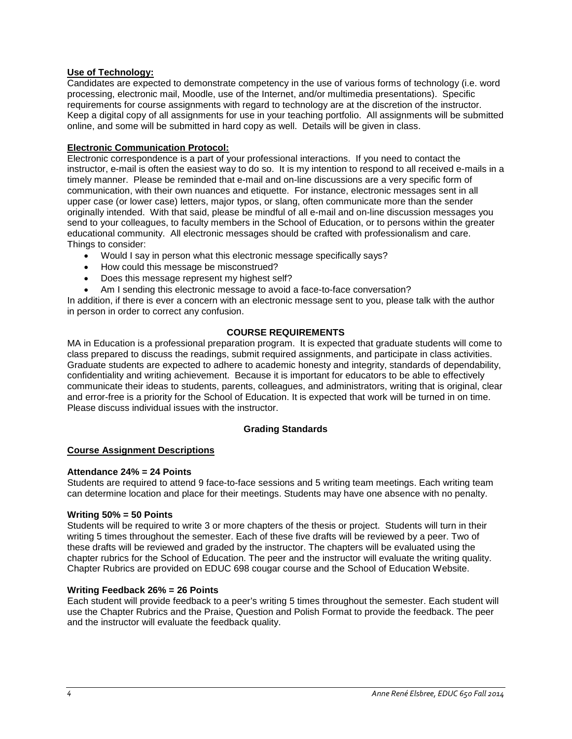# **Use of Technology:**

Candidates are expected to demonstrate competency in the use of various forms of technology (i.e. word processing, electronic mail, Moodle, use of the Internet, and/or multimedia presentations). Specific requirements for course assignments with regard to technology are at the discretion of the instructor. Keep a digital copy of all assignments for use in your teaching portfolio. All assignments will be submitted online, and some will be submitted in hard copy as well. Details will be given in class.

# **Electronic Communication Protocol:**

Electronic correspondence is a part of your professional interactions. If you need to contact the instructor, e-mail is often the easiest way to do so. It is my intention to respond to all received e-mails in a timely manner. Please be reminded that e-mail and on-line discussions are a very specific form of communication, with their own nuances and etiquette. For instance, electronic messages sent in all upper case (or lower case) letters, major typos, or slang, often communicate more than the sender originally intended. With that said, please be mindful of all e-mail and on-line discussion messages you send to your colleagues, to faculty members in the School of Education, or to persons within the greater educational community. All electronic messages should be crafted with professionalism and care. Things to consider:

- Would I say in person what this electronic message specifically says?
- How could this message be misconstrued?
- Does this message represent my highest self?
- Am I sending this electronic message to avoid a face-to-face conversation?

In addition, if there is ever a concern with an electronic message sent to you, please talk with the author in person in order to correct any confusion.

# **COURSE REQUIREMENTS**

MA in Education is a professional preparation program. It is expected that graduate students will come to class prepared to discuss the readings, submit required assignments, and participate in class activities. Graduate students are expected to adhere to academic honesty and integrity, standards of dependability, confidentiality and writing achievement. Because it is important for educators to be able to effectively communicate their ideas to students, parents, colleagues, and administrators, writing that is original, clear and error-free is a priority for the School of Education. It is expected that work will be turned in on time. Please discuss individual issues with the instructor.

## **Grading Standards**

## **Course Assignment Descriptions**

## **Attendance 24% = 24 Points**

Students are required to attend 9 face-to-face sessions and 5 writing team meetings. Each writing team can determine location and place for their meetings. Students may have one absence with no penalty.

## **Writing 50% = 50 Points**

Students will be required to write 3 or more chapters of the thesis or project. Students will turn in their writing 5 times throughout the semester. Each of these five drafts will be reviewed by a peer. Two of these drafts will be reviewed and graded by the instructor. The chapters will be evaluated using the chapter rubrics for the School of Education. The peer and the instructor will evaluate the writing quality. Chapter Rubrics are provided on EDUC 698 cougar course and the School of Education Website.

## **Writing Feedback 26% = 26 Points**

Each student will provide feedback to a peer's writing 5 times throughout the semester. Each student will use the Chapter Rubrics and the Praise, Question and Polish Format to provide the feedback. The peer and the instructor will evaluate the feedback quality.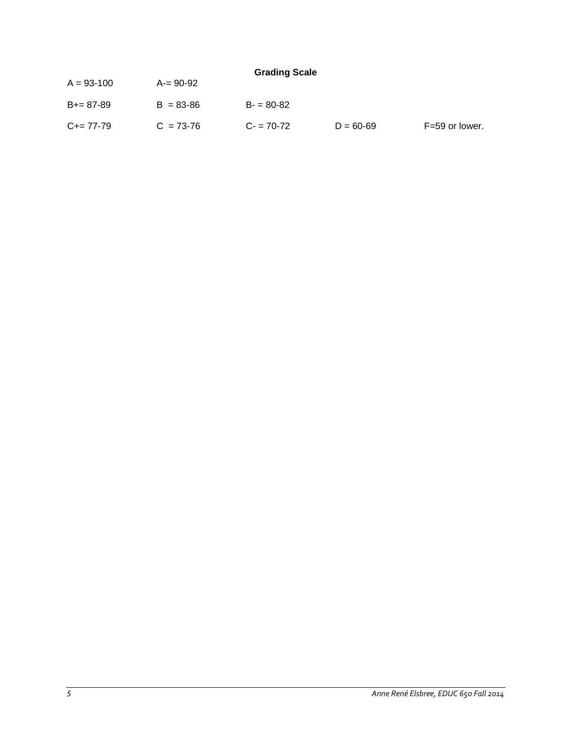| <b>Grading Scale</b> |               |               |  |  |  |  |
|----------------------|---------------|---------------|--|--|--|--|
| $A = 93 - 100$       | A-= 90-92     |               |  |  |  |  |
| $B+= 87-89$          | $B = 83 - 86$ | $B - 80 - 82$ |  |  |  |  |

 $C = 77-79$   $C = 73-76$   $C = 70-72$   $D = 60-69$   $F = 59$  or lower.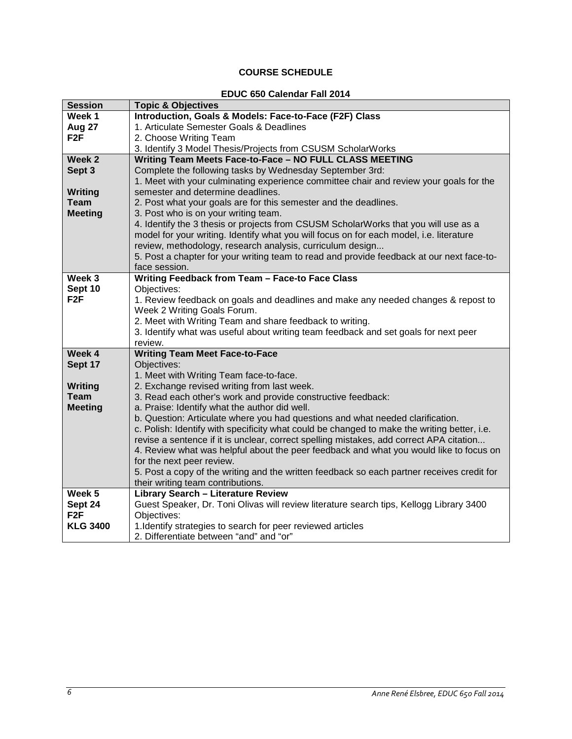# **COURSE SCHEDULE**

#### **EDUC 650 Calendar Fall 2014**

| <b>Session</b>    | <b>Topic &amp; Objectives</b>                                                               |  |  |  |  |
|-------------------|---------------------------------------------------------------------------------------------|--|--|--|--|
| Week 1            | Introduction, Goals & Models: Face-to-Face (F2F) Class                                      |  |  |  |  |
| Aug 27            | 1. Articulate Semester Goals & Deadlines                                                    |  |  |  |  |
| F <sub>2</sub> F  | 2. Choose Writing Team                                                                      |  |  |  |  |
|                   | 3. Identify 3 Model Thesis/Projects from CSUSM ScholarWorks                                 |  |  |  |  |
| Week 2            | Writing Team Meets Face-to-Face - NO FULL CLASS MEETING                                     |  |  |  |  |
| Sept 3            | Complete the following tasks by Wednesday September 3rd:                                    |  |  |  |  |
|                   | 1. Meet with your culminating experience committee chair and review your goals for the      |  |  |  |  |
| Writing           | semester and determine deadlines.                                                           |  |  |  |  |
| Team              | 2. Post what your goals are for this semester and the deadlines.                            |  |  |  |  |
| <b>Meeting</b>    | 3. Post who is on your writing team.                                                        |  |  |  |  |
|                   | 4. Identify the 3 thesis or projects from CSUSM ScholarWorks that you will use as a         |  |  |  |  |
|                   | model for your writing. Identify what you will focus on for each model, i.e. literature     |  |  |  |  |
|                   | review, methodology, research analysis, curriculum design                                   |  |  |  |  |
|                   | 5. Post a chapter for your writing team to read and provide feedback at our next face-to-   |  |  |  |  |
|                   | face session.                                                                               |  |  |  |  |
| Week 3            | Writing Feedback from Team - Face-to Face Class                                             |  |  |  |  |
| Sept 10           | Objectives:                                                                                 |  |  |  |  |
| F <sub>2</sub> F  | 1. Review feedback on goals and deadlines and make any needed changes & repost to           |  |  |  |  |
|                   | Week 2 Writing Goals Forum.                                                                 |  |  |  |  |
|                   | 2. Meet with Writing Team and share feedback to writing.                                    |  |  |  |  |
|                   | 3. Identify what was useful about writing team feedback and set goals for next peer         |  |  |  |  |
| Week 4            | review.<br><b>Writing Team Meet Face-to-Face</b>                                            |  |  |  |  |
| Sept 17           | Objectives:                                                                                 |  |  |  |  |
|                   | 1. Meet with Writing Team face-to-face.                                                     |  |  |  |  |
| Writing           | 2. Exchange revised writing from last week.                                                 |  |  |  |  |
| <b>Team</b>       | 3. Read each other's work and provide constructive feedback:                                |  |  |  |  |
| <b>Meeting</b>    | a. Praise: Identify what the author did well.                                               |  |  |  |  |
|                   | b. Question: Articulate where you had questions and what needed clarification.              |  |  |  |  |
|                   | c. Polish: Identify with specificity what could be changed to make the writing better, i.e. |  |  |  |  |
|                   | revise a sentence if it is unclear, correct spelling mistakes, add correct APA citation     |  |  |  |  |
|                   | 4. Review what was helpful about the peer feedback and what you would like to focus on      |  |  |  |  |
|                   | for the next peer review.                                                                   |  |  |  |  |
|                   | 5. Post a copy of the writing and the written feedback so each partner receives credit for  |  |  |  |  |
|                   | their writing team contributions.                                                           |  |  |  |  |
| Week <sub>5</sub> | <b>Library Search - Literature Review</b>                                                   |  |  |  |  |
| Sept 24           | Guest Speaker, Dr. Toni Olivas will review literature search tips, Kellogg Library 3400     |  |  |  |  |
| F <sub>2F</sub>   | Objectives:                                                                                 |  |  |  |  |
| <b>KLG 3400</b>   | 1. Identify strategies to search for peer reviewed articles                                 |  |  |  |  |
|                   | 2. Differentiate between "and" and "or"                                                     |  |  |  |  |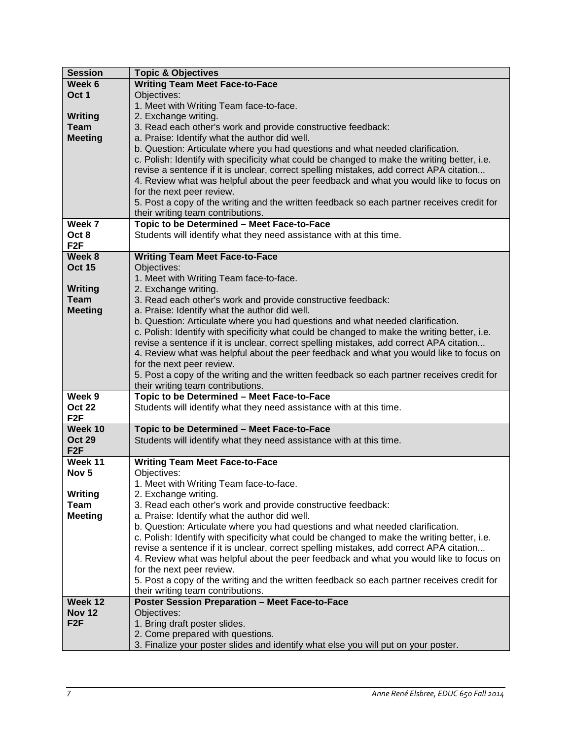| <b>Session</b>   | <b>Topic &amp; Objectives</b>                                                               |
|------------------|---------------------------------------------------------------------------------------------|
| Week 6           | <b>Writing Team Meet Face-to-Face</b>                                                       |
| Oct 1            | Objectives:                                                                                 |
|                  | 1. Meet with Writing Team face-to-face.                                                     |
| <b>Writing</b>   | 2. Exchange writing.                                                                        |
| <b>Team</b>      | 3. Read each other's work and provide constructive feedback:                                |
| <b>Meeting</b>   | a. Praise: Identify what the author did well.                                               |
|                  | b. Question: Articulate where you had questions and what needed clarification.              |
|                  | c. Polish: Identify with specificity what could be changed to make the writing better, i.e. |
|                  |                                                                                             |
|                  | revise a sentence if it is unclear, correct spelling mistakes, add correct APA citation     |
|                  | 4. Review what was helpful about the peer feedback and what you would like to focus on      |
|                  | for the next peer review.                                                                   |
|                  | 5. Post a copy of the writing and the written feedback so each partner receives credit for  |
|                  | their writing team contributions.                                                           |
| Week 7           | Topic to be Determined - Meet Face-to-Face                                                  |
| Oct 8            | Students will identify what they need assistance with at this time.                         |
| F <sub>2F</sub>  |                                                                                             |
| Week 8           | <b>Writing Team Meet Face-to-Face</b>                                                       |
| <b>Oct 15</b>    | Objectives:                                                                                 |
|                  | 1. Meet with Writing Team face-to-face.                                                     |
| <b>Writing</b>   | 2. Exchange writing.                                                                        |
| <b>Team</b>      | 3. Read each other's work and provide constructive feedback:                                |
| <b>Meeting</b>   | a. Praise: Identify what the author did well.                                               |
|                  | b. Question: Articulate where you had questions and what needed clarification.              |
|                  | c. Polish: Identify with specificity what could be changed to make the writing better, i.e. |
|                  | revise a sentence if it is unclear, correct spelling mistakes, add correct APA citation     |
|                  | 4. Review what was helpful about the peer feedback and what you would like to focus on      |
|                  | for the next peer review.                                                                   |
|                  | 5. Post a copy of the writing and the written feedback so each partner receives credit for  |
|                  | their writing team contributions.                                                           |
| Week 9           | Topic to be Determined - Meet Face-to-Face                                                  |
| <b>Oct 22</b>    | Students will identify what they need assistance with at this time.                         |
| F <sub>2F</sub>  |                                                                                             |
| Week 10          | Topic to be Determined - Meet Face-to-Face                                                  |
| <b>Oct 29</b>    | Students will identify what they need assistance with at this time.                         |
| F <sub>2F</sub>  |                                                                                             |
| Week 11          | <b>Writing Team Meet Face-to-Face</b>                                                       |
| Nov <sub>5</sub> | Objectives:                                                                                 |
|                  | 1. Meet with Writing Team face-to-face.                                                     |
| Writing          |                                                                                             |
| Team             | 2. Exchange writing.                                                                        |
| <b>Meeting</b>   | 3. Read each other's work and provide constructive feedback:                                |
|                  | a. Praise: Identify what the author did well.                                               |
|                  | b. Question: Articulate where you had questions and what needed clarification.              |
|                  | c. Polish: Identify with specificity what could be changed to make the writing better, i.e. |
|                  | revise a sentence if it is unclear, correct spelling mistakes, add correct APA citation     |
|                  | 4. Review what was helpful about the peer feedback and what you would like to focus on      |
|                  | for the next peer review.                                                                   |
|                  | 5. Post a copy of the writing and the written feedback so each partner receives credit for  |
|                  | their writing team contributions.                                                           |
| Week 12          | <b>Poster Session Preparation - Meet Face-to-Face</b>                                       |
| <b>Nov 12</b>    | Objectives:                                                                                 |
| F <sub>2F</sub>  | 1. Bring draft poster slides.                                                               |
|                  | 2. Come prepared with questions.                                                            |
|                  | 3. Finalize your poster slides and identify what else you will put on your poster.          |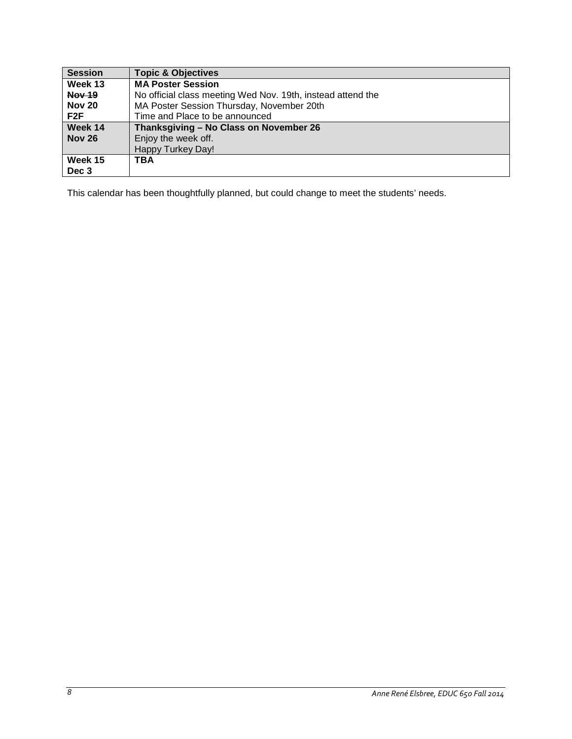| <b>Session</b> | <b>Topic &amp; Objectives</b>                               |
|----------------|-------------------------------------------------------------|
| Week 13        | <b>MA Poster Session</b>                                    |
| <b>Nov 19</b>  | No official class meeting Wed Nov. 19th, instead attend the |
| <b>Nov 20</b>  | MA Poster Session Thursday, November 20th                   |
| F2F            | Time and Place to be announced                              |
| Week 14        | Thanksgiving - No Class on November 26                      |
| <b>Nov 26</b>  | Enjoy the week off.                                         |
|                | Happy Turkey Day!                                           |
| Week 15        | TBA                                                         |
| Dec 3          |                                                             |

This calendar has been thoughtfully planned, but could change to meet the students' needs.